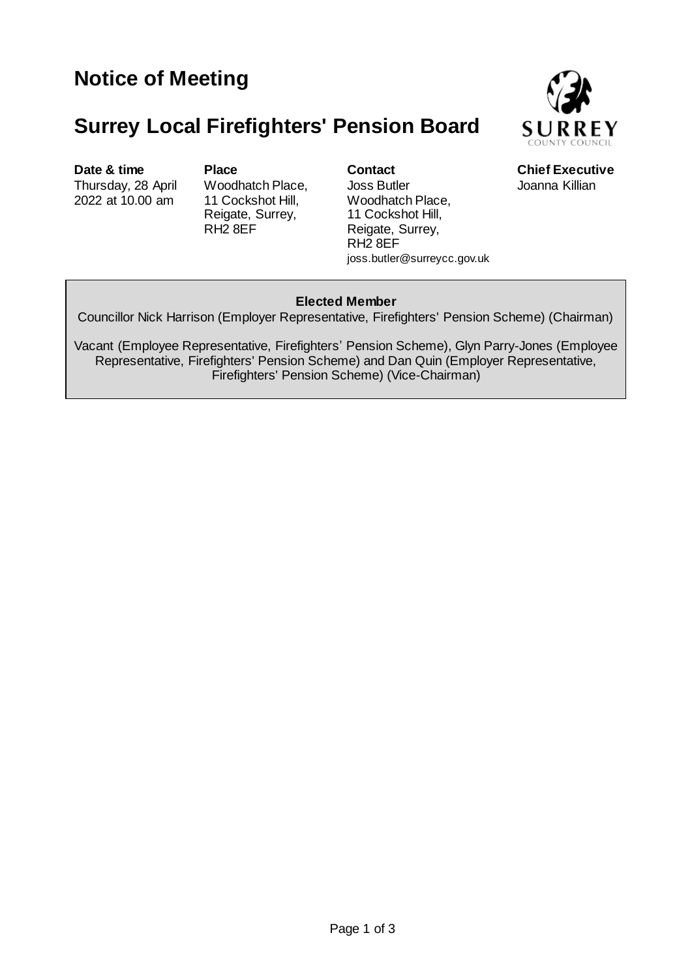# **Surrey Local Firefighters' Pension Board**



**Date & time Place Contact** Chief Executive Thursday, 28 April 2022 at 10.00 am

Woodhatch Place, 11 Cockshot Hill, Reigate, Surrey, RH2 8EF

Joss Butler Woodhatch Place, 11 Cockshot Hill, Reigate, Surrey, RH2 8EF joss.butler@surreycc.gov.uk Joanna Killian

## **Elected Member**

Councillor Nick Harrison (Employer Representative, Firefighters' Pension Scheme) (Chairman)

Vacant (Employee Representative, Firefighters' Pension Scheme), Glyn Parry-Jones (Employee Representative, Firefighters' Pension Scheme) and Dan Quin (Employer Representative, Firefighters' Pension Scheme) (Vice-Chairman)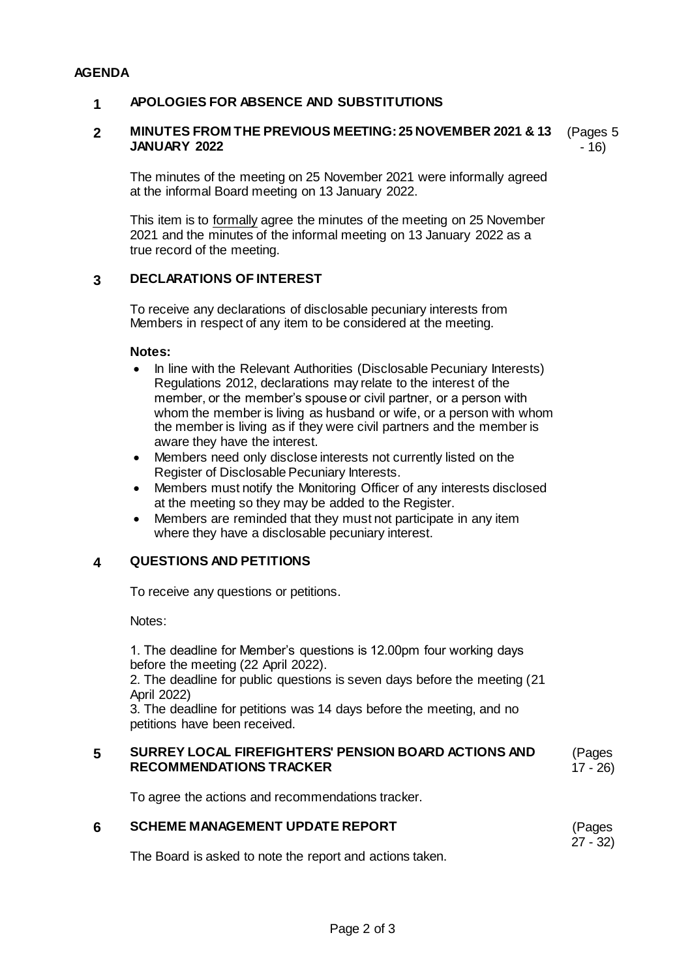#### **AGENDA**

### **1 APOLOGIES FOR ABSENCE AND SUBSTITUTIONS**

#### **2 MINUTES FROM THE PREVIOUS MEETING: 25 NOVEMBER 2021 & 13 JANUARY 2022** (Pages 5 - 16)

The minutes of the meeting on 25 November 2021 were informally agreed at the informal Board meeting on 13 January 2022.

This item is to formally agree the minutes of the meeting on 25 November 2021 and the minutes of the informal meeting on 13 January 2022 as a true record of the meeting.

### **3 DECLARATIONS OF INTEREST**

To receive any declarations of disclosable pecuniary interests from Members in respect of any item to be considered at the meeting.

#### **Notes:**

- In line with the Relevant Authorities (Disclosable Pecuniary Interests) Regulations 2012, declarations may relate to the interest of the member, or the member's spouse or civil partner, or a person with whom the member is living as husband or wife, or a person with whom the member is living as if they were civil partners and the member is aware they have the interest.
- Members need only disclose interests not currently listed on the Register of Disclosable Pecuniary Interests.
- Members must notify the Monitoring Officer of any interests disclosed at the meeting so they may be added to the Register.
- Members are reminded that they must not participate in any item where they have a disclosable pecuniary interest.

### **4 QUESTIONS AND PETITIONS**

To receive any questions or petitions.

Notes:

1. The deadline for Member's questions is 12.00pm four working days before the meeting (22 April 2022).

2. The deadline for public questions is seven days before the meeting (21 April 2022)

3. The deadline for petitions was 14 days before the meeting, and no petitions have been received.

#### **5 SURREY LOCAL FIREFIGHTERS' PENSION BOARD ACTIONS AND RECOMMENDATIONS TRACKER** (Pages 17 - 26)

To agree the actions and recommendations tracker.

#### **6 SCHEME MANAGEMENT UPDATE REPORT** (Pages 27 - 32)

The Board is asked to note the report and actions taken.